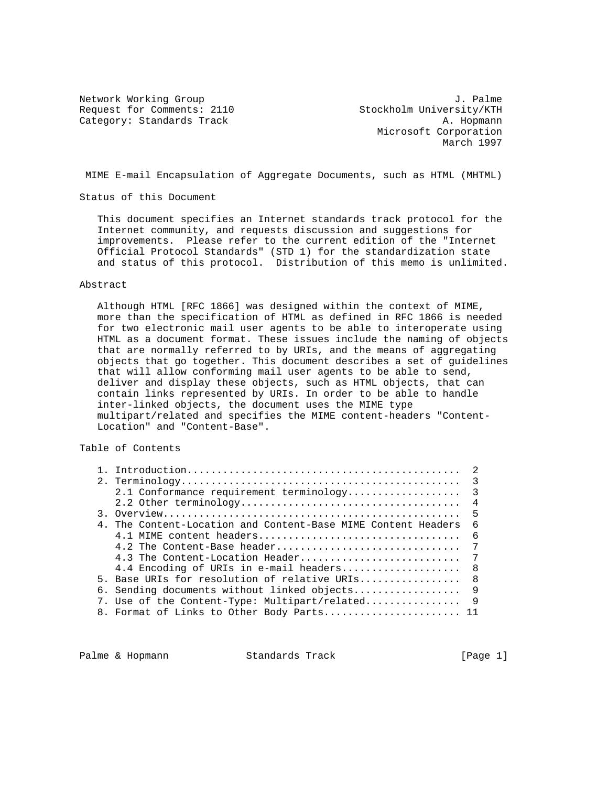Request for Comments: 2110 Stockholm University/KTH Category: Standards Track A. Hopmann

Network Working Group 3. 2012 3. Palme Microsoft Corporation March 1997

MIME E-mail Encapsulation of Aggregate Documents, such as HTML (MHTML)

Status of this Document

 This document specifies an Internet standards track protocol for the Internet community, and requests discussion and suggestions for improvements. Please refer to the current edition of the "Internet Official Protocol Standards" (STD 1) for the standardization state and status of this protocol. Distribution of this memo is unlimited.

### Abstract

 Although HTML [RFC 1866] was designed within the context of MIME, more than the specification of HTML as defined in RFC 1866 is needed for two electronic mail user agents to be able to interoperate using HTML as a document format. These issues include the naming of objects that are normally referred to by URIs, and the means of aggregating objects that go together. This document describes a set of guidelines that will allow conforming mail user agents to be able to send, deliver and display these objects, such as HTML objects, that can contain links represented by URIs. In order to be able to handle inter-linked objects, the document uses the MIME type multipart/related and specifies the MIME content-headers "Content- Location" and "Content-Base".

Table of Contents

|  | 2.1 Conformance requirement terminology                       | $\overline{\mathbf{3}}$ |
|--|---------------------------------------------------------------|-------------------------|
|  |                                                               | $\overline{4}$          |
|  |                                                               | - 5                     |
|  | 4. The Content-Location and Content-Base MIME Content Headers | 6                       |
|  | 4.1 MIME content headers                                      | - 6                     |
|  | 4.2 The Content-Base header                                   | 7                       |
|  | 4.3 The Content-Location Header                               | - 7                     |
|  | 4.4 Encoding of URIs in e-mail headers                        | - 8                     |
|  | 5. Base URIs for resolution of relative URIs                  | - 8                     |
|  |                                                               |                         |
|  | 7. Use of the Content-Type: Multipart/related 9               |                         |
|  | 8. Format of Links to Other Body Parts 11                     |                         |

Palme & Hopmann Standards Track [Page 1]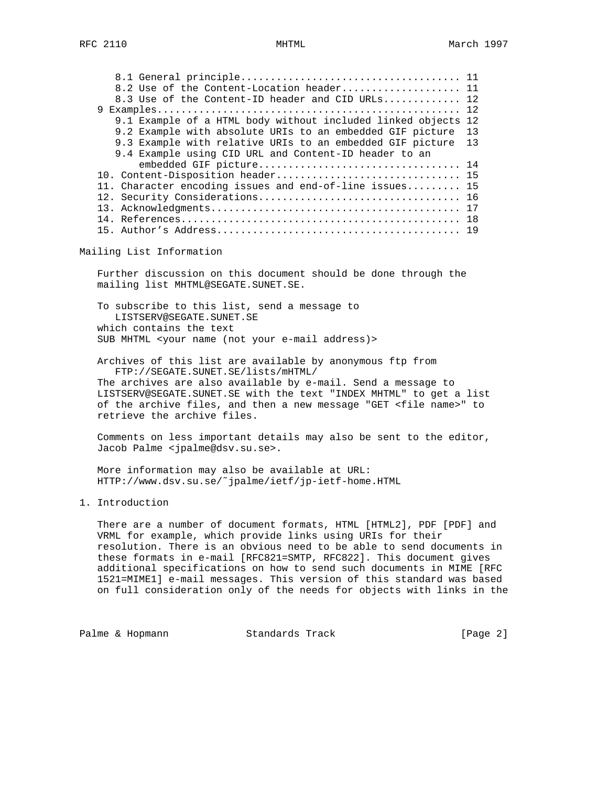| 8.3 Use of the Content-ID header and CID URLs 12              |    |
|---------------------------------------------------------------|----|
|                                                               |    |
| 9.1 Example of a HTML body without included linked objects 12 |    |
| 9.2 Example with absolute URIs to an embedded GIF picture     | 13 |
| 9.3 Example with relative URIs to an embedded GIF picture     | 13 |
| 9.4 Example using CID URL and Content-ID header to an         |    |
|                                                               |    |
| 10. Content-Disposition header 15                             |    |
| 11. Character encoding issues and end-of-line issues 15       |    |
|                                                               |    |
|                                                               |    |
|                                                               |    |
|                                                               |    |

## Mailing List Information

 Further discussion on this document should be done through the mailing list MHTML@SEGATE.SUNET.SE.

 To subscribe to this list, send a message to LISTSERV@SEGATE.SUNET.SE which contains the text SUB MHTML <your name (not your e-mail address)>

 Archives of this list are available by anonymous ftp from FTP://SEGATE.SUNET.SE/lists/mHTML/ The archives are also available by e-mail. Send a message to LISTSERV@SEGATE.SUNET.SE with the text "INDEX MHTML" to get a list of the archive files, and then a new message "GET <file name>" to retrieve the archive files.

 Comments on less important details may also be sent to the editor, Jacob Palme <jpalme@dsv.su.se>.

 More information may also be available at URL: HTTP://www.dsv.su.se/˜jpalme/ietf/jp-ietf-home.HTML

# 1. Introduction

 There are a number of document formats, HTML [HTML2], PDF [PDF] and VRML for example, which provide links using URIs for their resolution. There is an obvious need to be able to send documents in these formats in e-mail [RFC821=SMTP, RFC822]. This document gives additional specifications on how to send such documents in MIME [RFC 1521=MIME1] e-mail messages. This version of this standard was based on full consideration only of the needs for objects with links in the

Palme & Hopmann Standards Track [Page 2]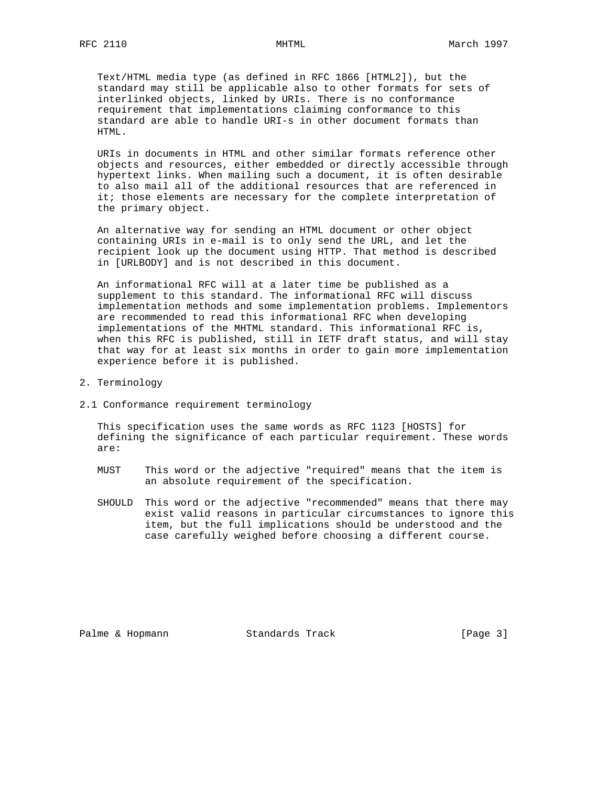Text/HTML media type (as defined in RFC 1866 [HTML2]), but the standard may still be applicable also to other formats for sets of interlinked objects, linked by URIs. There is no conformance requirement that implementations claiming conformance to this standard are able to handle URI-s in other document formats than HTML.

 URIs in documents in HTML and other similar formats reference other objects and resources, either embedded or directly accessible through hypertext links. When mailing such a document, it is often desirable to also mail all of the additional resources that are referenced in it; those elements are necessary for the complete interpretation of the primary object.

 An alternative way for sending an HTML document or other object containing URIs in e-mail is to only send the URL, and let the recipient look up the document using HTTP. That method is described in [URLBODY] and is not described in this document.

 An informational RFC will at a later time be published as a supplement to this standard. The informational RFC will discuss implementation methods and some implementation problems. Implementors are recommended to read this informational RFC when developing implementations of the MHTML standard. This informational RFC is, when this RFC is published, still in IETF draft status, and will stay that way for at least six months in order to gain more implementation experience before it is published.

- 2. Terminology
- 2.1 Conformance requirement terminology

 This specification uses the same words as RFC 1123 [HOSTS] for defining the significance of each particular requirement. These words are:

- MUST This word or the adjective "required" means that the item is an absolute requirement of the specification.
- SHOULD This word or the adjective "recommended" means that there may exist valid reasons in particular circumstances to ignore this item, but the full implications should be understood and the case carefully weighed before choosing a different course.

Palme & Hopmann Standards Track [Page 3]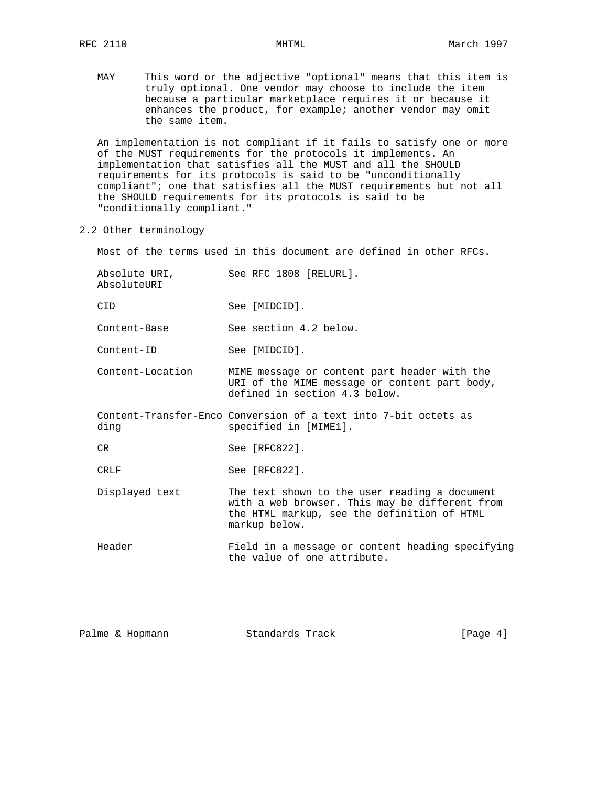MAY This word or the adjective "optional" means that this item is truly optional. One vendor may choose to include the item because a particular marketplace requires it or because it enhances the product, for example; another vendor may omit the same item.

 An implementation is not compliant if it fails to satisfy one or more of the MUST requirements for the protocols it implements. An implementation that satisfies all the MUST and all the SHOULD requirements for its protocols is said to be "unconditionally compliant"; one that satisfies all the MUST requirements but not all the SHOULD requirements for its protocols is said to be "conditionally compliant."

2.2 Other terminology

Most of the terms used in this document are defined in other RFCs.

| Absolute URI,<br>AbsoluteURI | See RFC 1808 [RELURL].                                                                                                                                          |
|------------------------------|-----------------------------------------------------------------------------------------------------------------------------------------------------------------|
| CID.                         | See [MIDCID].                                                                                                                                                   |
| Content-Base                 | See section 4.2 below.                                                                                                                                          |
| Content-ID                   | See [MIDCID].                                                                                                                                                   |
| Content-Location             | MIME message or content part header with the<br>URI of the MIME message or content part body,<br>defined in section 4.3 below.                                  |
| ding                         | Content-Transfer-Enco Conversion of a text into 7-bit octets as<br>specified in [MIME1].                                                                        |
| CR.                          | See [RFC822].                                                                                                                                                   |
| <b>CRLF</b>                  | See [RFC822].                                                                                                                                                   |
| Displayed text               | The text shown to the user reading a document<br>with a web browser. This may be different from<br>the HTML markup, see the definition of HTML<br>markup below. |
| Header                       | Field in a message or content heading specifying<br>the value of one attribute.                                                                                 |

| Standards Track<br>Palme & Hopmann | [Page 4] |  |  |
|------------------------------------|----------|--|--|
|------------------------------------|----------|--|--|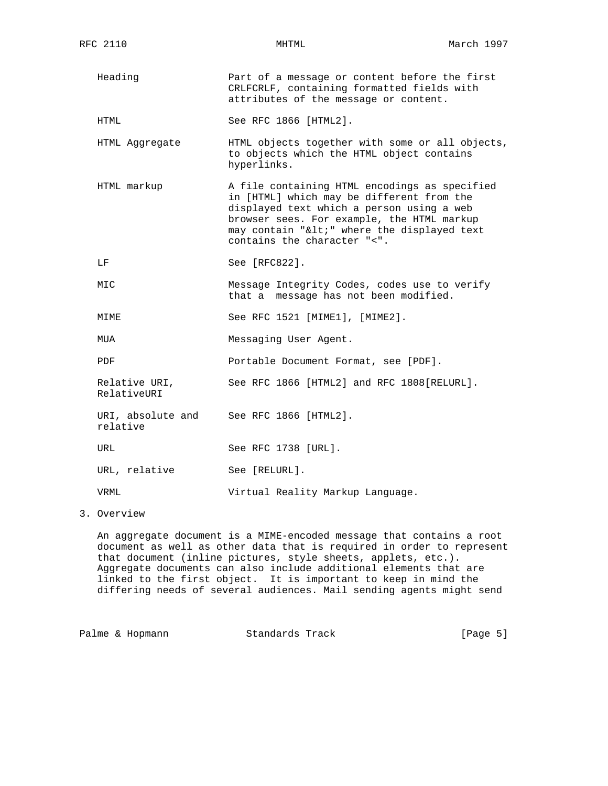Heading Part of a message or content before the first CRLFCRLF, containing formatted fields with attributes of the message or content.

HTML See RFC 1866 [HTML2].

- HTML Aggregate HTML objects together with some or all objects, to objects which the HTML object contains hyperlinks.
- HTML markup A file containing HTML encodings as specified in [HTML] which may be different from the displayed text which a person using a web browser sees. For example, the HTML markup  $may$  contain "<" where the displayed text contains the character "<".
- LF See [RFC822].
- MIC Message Integrity Codes, codes use to verify that a message has not been modified.

MIME See RFC 1521 [MIME1], [MIME2].

MUA Messaging User Agent.

PDF Portable Document Format, see [PDF].

Relative URI, See RFC 1866 [HTML2] and RFC 1808 [RELURL]. RelativeURI

URI, absolute and See RFC 1866 [HTML2].

relative

URL See RFC 1738 [URL].

URL, relative See [RELURL].

VRML Virtual Reality Markup Language.

3. Overview

 An aggregate document is a MIME-encoded message that contains a root document as well as other data that is required in order to represent that document (inline pictures, style sheets, applets, etc.). Aggregate documents can also include additional elements that are linked to the first object. It is important to keep in mind the differing needs of several audiences. Mail sending agents might send

Palme & Hopmann Standards Track [Page 5]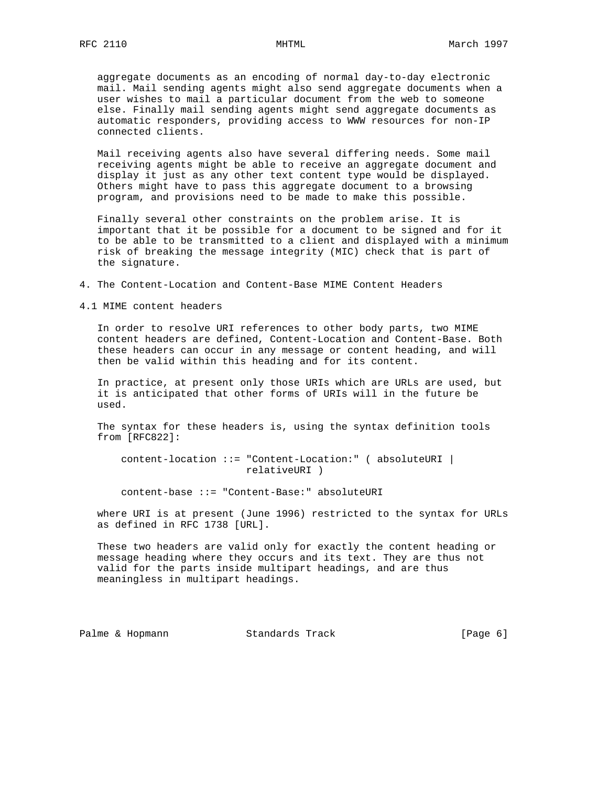aggregate documents as an encoding of normal day-to-day electronic mail. Mail sending agents might also send aggregate documents when a user wishes to mail a particular document from the web to someone else. Finally mail sending agents might send aggregate documents as automatic responders, providing access to WWW resources for non-IP connected clients.

 Mail receiving agents also have several differing needs. Some mail receiving agents might be able to receive an aggregate document and display it just as any other text content type would be displayed. Others might have to pass this aggregate document to a browsing program, and provisions need to be made to make this possible.

 Finally several other constraints on the problem arise. It is important that it be possible for a document to be signed and for it to be able to be transmitted to a client and displayed with a minimum risk of breaking the message integrity (MIC) check that is part of the signature.

4. The Content-Location and Content-Base MIME Content Headers

4.1 MIME content headers

 In order to resolve URI references to other body parts, two MIME content headers are defined, Content-Location and Content-Base. Both these headers can occur in any message or content heading, and will then be valid within this heading and for its content.

 In practice, at present only those URIs which are URLs are used, but it is anticipated that other forms of URIs will in the future be used.

 The syntax for these headers is, using the syntax definition tools from [RFC822]:

 content-location ::= "Content-Location:" ( absoluteURI | relativeURI )

content-base ::= "Content-Base:" absoluteURI

 where URI is at present (June 1996) restricted to the syntax for URLs as defined in RFC 1738 [URL].

 These two headers are valid only for exactly the content heading or message heading where they occurs and its text. They are thus not valid for the parts inside multipart headings, and are thus meaningless in multipart headings.

Palme & Hopmann Standards Track [Page 6]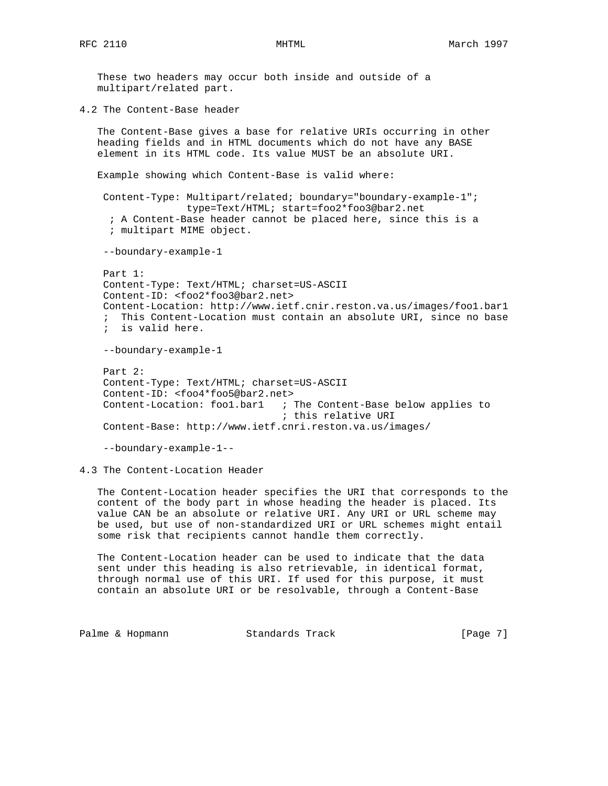These two headers may occur both inside and outside of a multipart/related part.

4.2 The Content-Base header

 The Content-Base gives a base for relative URIs occurring in other heading fields and in HTML documents which do not have any BASE element in its HTML code. Its value MUST be an absolute URI.

Example showing which Content-Base is valid where:

 Content-Type: Multipart/related; boundary="boundary-example-1"; type=Text/HTML; start=foo2\*foo3@bar2.net ; A Content-Base header cannot be placed here, since this is a ; multipart MIME object.

--boundary-example-1

 Part 1: Content-Type: Text/HTML; charset=US-ASCII Content-ID: <foo2\*foo3@bar2.net> Content-Location: http://www.ietf.cnir.reston.va.us/images/foo1.bar1 ; This Content-Location must contain an absolute URI, since no base ; is valid here. --boundary-example-1 Part 2: Content-Type: Text/HTML; charset=US-ASCII Content-ID: <foo4\*foo5@bar2.net> Content-Location: foo1.bar1 ; The Content-Base below applies to ; this relative URI

Content-Base: http://www.ietf.cnri.reston.va.us/images/

--boundary-example-1--

4.3 The Content-Location Header

 The Content-Location header specifies the URI that corresponds to the content of the body part in whose heading the header is placed. Its value CAN be an absolute or relative URI. Any URI or URL scheme may be used, but use of non-standardized URI or URL schemes might entail some risk that recipients cannot handle them correctly.

 The Content-Location header can be used to indicate that the data sent under this heading is also retrievable, in identical format, through normal use of this URI. If used for this purpose, it must contain an absolute URI or be resolvable, through a Content-Base

Palme & Hopmann Standards Track [Page 7]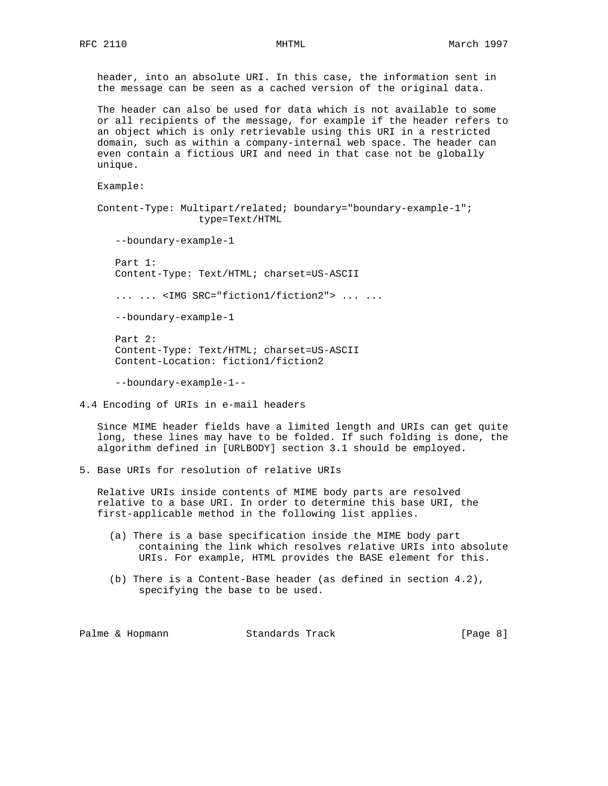header, into an absolute URI. In this case, the information sent in the message can be seen as a cached version of the original data.

 The header can also be used for data which is not available to some or all recipients of the message, for example if the header refers to an object which is only retrievable using this URI in a restricted domain, such as within a company-internal web space. The header can even contain a fictious URI and need in that case not be globally unique.

Example:

 Content-Type: Multipart/related; boundary="boundary-example-1"; type=Text/HTML

--boundary-example-1

 Part 1: Content-Type: Text/HTML; charset=US-ASCII

... ... <IMG SRC="fiction1/fiction2"> ... ...

--boundary-example-1

 Part 2: Content-Type: Text/HTML; charset=US-ASCII Content-Location: fiction1/fiction2

--boundary-example-1--

4.4 Encoding of URIs in e-mail headers

 Since MIME header fields have a limited length and URIs can get quite long, these lines may have to be folded. If such folding is done, the algorithm defined in [URLBODY] section 3.1 should be employed.

5. Base URIs for resolution of relative URIs

 Relative URIs inside contents of MIME body parts are resolved relative to a base URI. In order to determine this base URI, the first-applicable method in the following list applies.

- (a) There is a base specification inside the MIME body part containing the link which resolves relative URIs into absolute URIs. For example, HTML provides the BASE element for this.
- (b) There is a Content-Base header (as defined in section 4.2), specifying the base to be used.

Palme & Hopmann Standards Track [Page 8]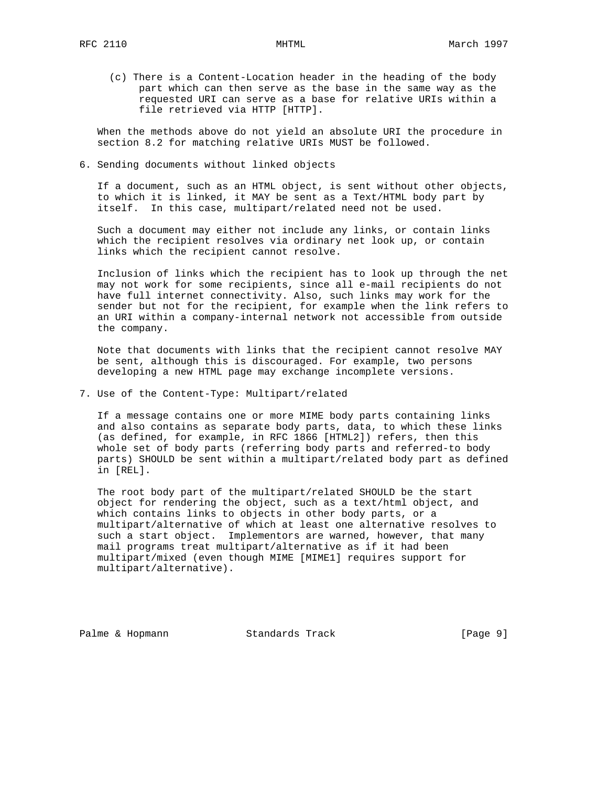(c) There is a Content-Location header in the heading of the body part which can then serve as the base in the same way as the requested URI can serve as a base for relative URIs within a file retrieved via HTTP [HTTP].

 When the methods above do not yield an absolute URI the procedure in section 8.2 for matching relative URIs MUST be followed.

6. Sending documents without linked objects

 If a document, such as an HTML object, is sent without other objects, to which it is linked, it MAY be sent as a Text/HTML body part by itself. In this case, multipart/related need not be used.

 Such a document may either not include any links, or contain links which the recipient resolves via ordinary net look up, or contain links which the recipient cannot resolve.

 Inclusion of links which the recipient has to look up through the net may not work for some recipients, since all e-mail recipients do not have full internet connectivity. Also, such links may work for the sender but not for the recipient, for example when the link refers to an URI within a company-internal network not accessible from outside the company.

 Note that documents with links that the recipient cannot resolve MAY be sent, although this is discouraged. For example, two persons developing a new HTML page may exchange incomplete versions.

7. Use of the Content-Type: Multipart/related

 If a message contains one or more MIME body parts containing links and also contains as separate body parts, data, to which these links (as defined, for example, in RFC 1866 [HTML2]) refers, then this whole set of body parts (referring body parts and referred-to body parts) SHOULD be sent within a multipart/related body part as defined in [REL].

 The root body part of the multipart/related SHOULD be the start object for rendering the object, such as a text/html object, and which contains links to objects in other body parts, or a multipart/alternative of which at least one alternative resolves to such a start object. Implementors are warned, however, that many mail programs treat multipart/alternative as if it had been multipart/mixed (even though MIME [MIME1] requires support for multipart/alternative).

Palme & Hopmann Standards Track [Page 9]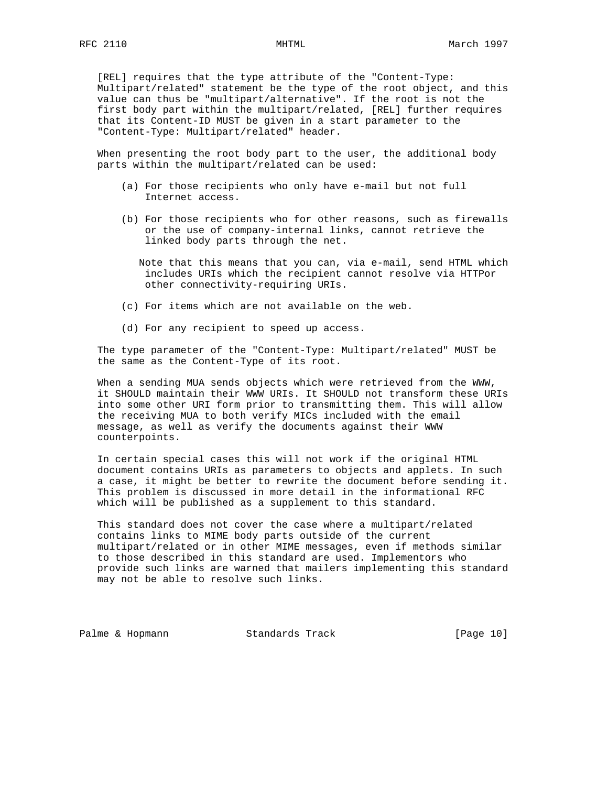[REL] requires that the type attribute of the "Content-Type: Multipart/related" statement be the type of the root object, and this value can thus be "multipart/alternative". If the root is not the first body part within the multipart/related, [REL] further requires that its Content-ID MUST be given in a start parameter to the "Content-Type: Multipart/related" header.

 When presenting the root body part to the user, the additional body parts within the multipart/related can be used:

- (a) For those recipients who only have e-mail but not full Internet access.
- (b) For those recipients who for other reasons, such as firewalls or the use of company-internal links, cannot retrieve the linked body parts through the net.

 Note that this means that you can, via e-mail, send HTML which includes URIs which the recipient cannot resolve via HTTPor other connectivity-requiring URIs.

- (c) For items which are not available on the web.
- (d) For any recipient to speed up access.

 The type parameter of the "Content-Type: Multipart/related" MUST be the same as the Content-Type of its root.

 When a sending MUA sends objects which were retrieved from the WWW, it SHOULD maintain their WWW URIs. It SHOULD not transform these URIs into some other URI form prior to transmitting them. This will allow the receiving MUA to both verify MICs included with the email message, as well as verify the documents against their WWW counterpoints.

 In certain special cases this will not work if the original HTML document contains URIs as parameters to objects and applets. In such a case, it might be better to rewrite the document before sending it. This problem is discussed in more detail in the informational RFC which will be published as a supplement to this standard.

 This standard does not cover the case where a multipart/related contains links to MIME body parts outside of the current multipart/related or in other MIME messages, even if methods similar to those described in this standard are used. Implementors who provide such links are warned that mailers implementing this standard may not be able to resolve such links.

Palme & Hopmann Standards Track [Page 10]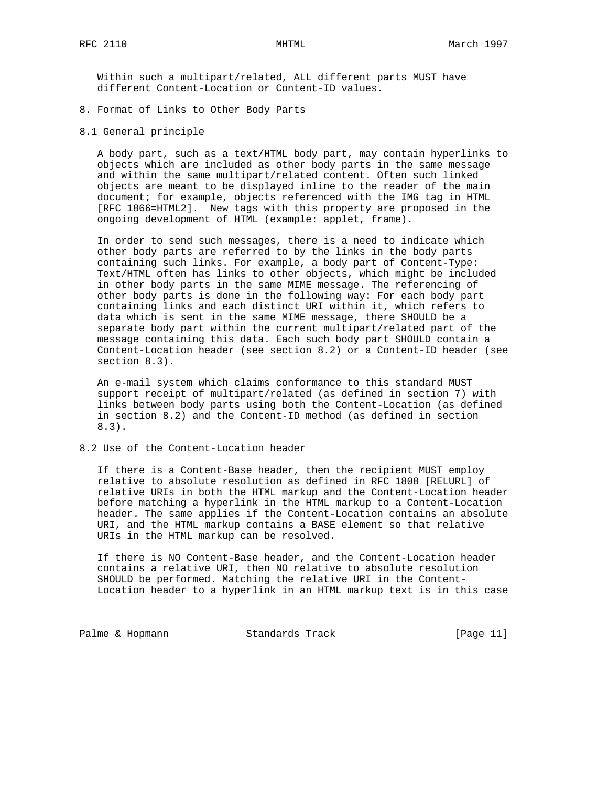Within such a multipart/related, ALL different parts MUST have different Content-Location or Content-ID values.

- 8. Format of Links to Other Body Parts
- 8.1 General principle

 A body part, such as a text/HTML body part, may contain hyperlinks to objects which are included as other body parts in the same message and within the same multipart/related content. Often such linked objects are meant to be displayed inline to the reader of the main document; for example, objects referenced with the IMG tag in HTML [RFC 1866=HTML2]. New tags with this property are proposed in the ongoing development of HTML (example: applet, frame).

 In order to send such messages, there is a need to indicate which other body parts are referred to by the links in the body parts containing such links. For example, a body part of Content-Type: Text/HTML often has links to other objects, which might be included in other body parts in the same MIME message. The referencing of other body parts is done in the following way: For each body part containing links and each distinct URI within it, which refers to data which is sent in the same MIME message, there SHOULD be a separate body part within the current multipart/related part of the message containing this data. Each such body part SHOULD contain a Content-Location header (see section 8.2) or a Content-ID header (see section 8.3).

 An e-mail system which claims conformance to this standard MUST support receipt of multipart/related (as defined in section 7) with links between body parts using both the Content-Location (as defined in section 8.2) and the Content-ID method (as defined in section 8.3).

8.2 Use of the Content-Location header

 If there is a Content-Base header, then the recipient MUST employ relative to absolute resolution as defined in RFC 1808 [RELURL] of relative URIs in both the HTML markup and the Content-Location header before matching a hyperlink in the HTML markup to a Content-Location header. The same applies if the Content-Location contains an absolute URI, and the HTML markup contains a BASE element so that relative URIs in the HTML markup can be resolved.

 If there is NO Content-Base header, and the Content-Location header contains a relative URI, then NO relative to absolute resolution SHOULD be performed. Matching the relative URI in the Content- Location header to a hyperlink in an HTML markup text is in this case

Palme & Hopmann Standards Track [Page 11]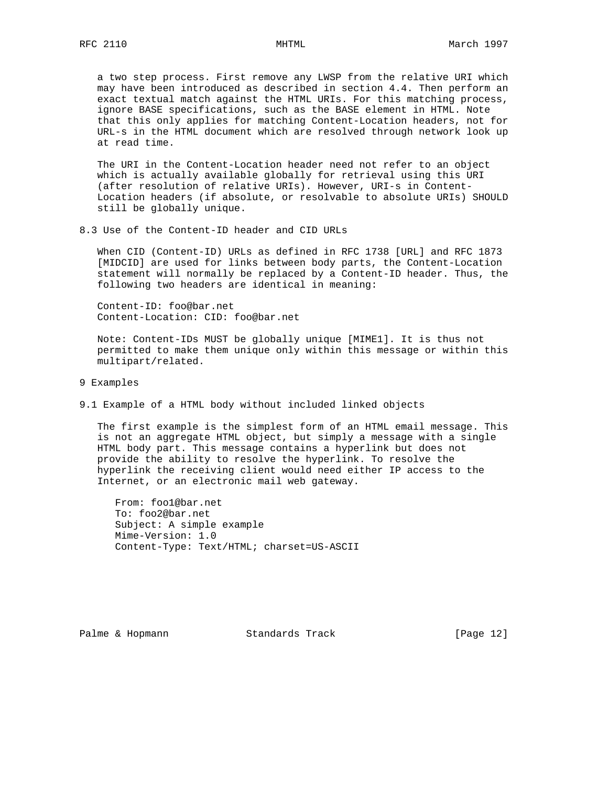a two step process. First remove any LWSP from the relative URI which may have been introduced as described in section 4.4. Then perform an exact textual match against the HTML URIs. For this matching process, ignore BASE specifications, such as the BASE element in HTML. Note that this only applies for matching Content-Location headers, not for URL-s in the HTML document which are resolved through network look up at read time.

 The URI in the Content-Location header need not refer to an object which is actually available globally for retrieval using this URI (after resolution of relative URIs). However, URI-s in Content- Location headers (if absolute, or resolvable to absolute URIs) SHOULD still be globally unique.

8.3 Use of the Content-ID header and CID URLs

 When CID (Content-ID) URLs as defined in RFC 1738 [URL] and RFC 1873 [MIDCID] are used for links between body parts, the Content-Location statement will normally be replaced by a Content-ID header. Thus, the following two headers are identical in meaning:

 Content-ID: foo@bar.net Content-Location: CID: foo@bar.net

 Note: Content-IDs MUST be globally unique [MIME1]. It is thus not permitted to make them unique only within this message or within this multipart/related.

- 9 Examples
- 9.1 Example of a HTML body without included linked objects

 The first example is the simplest form of an HTML email message. This is not an aggregate HTML object, but simply a message with a single HTML body part. This message contains a hyperlink but does not provide the ability to resolve the hyperlink. To resolve the hyperlink the receiving client would need either IP access to the Internet, or an electronic mail web gateway.

 From: foo1@bar.net To: foo2@bar.net Subject: A simple example Mime-Version: 1.0 Content-Type: Text/HTML; charset=US-ASCII

Palme & Hopmann Standards Track [Page 12]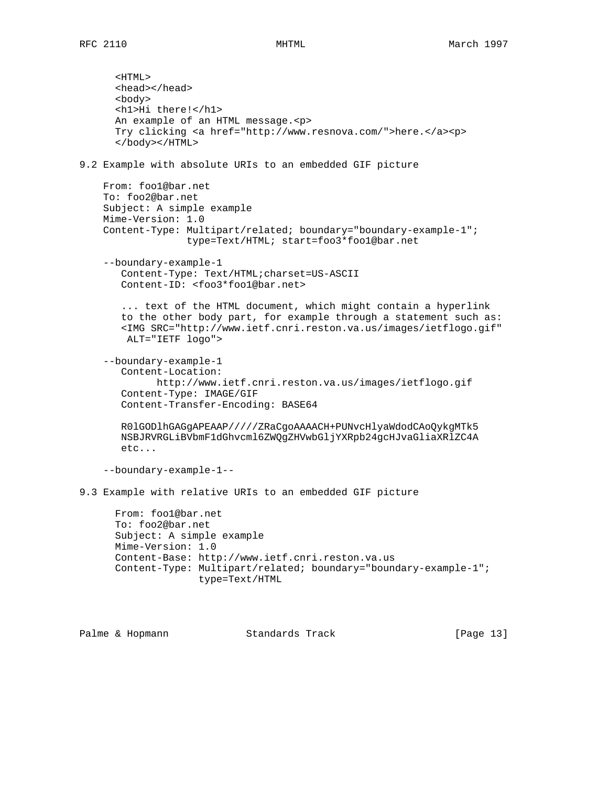<HTML> <head></head> <body> <h1>Hi there!</h1> An example of an HTML message.<p> Try clicking <a href="http://www.resnova.com/">here.</a><p> </body></HTML> 9.2 Example with absolute URIs to an embedded GIF picture From: foo1@bar.net To: foo2@bar.net Subject: A simple example Mime-Version: 1.0 Content-Type: Multipart/related; boundary="boundary-example-1"; type=Text/HTML; start=foo3\*foo1@bar.net --boundary-example-1 Content-Type: Text/HTML;charset=US-ASCII Content-ID: <foo3\*foo1@bar.net> ... text of the HTML document, which might contain a hyperlink to the other body part, for example through a statement such as: <IMG SRC="http://www.ietf.cnri.reston.va.us/images/ietflogo.gif" ALT="IETF logo"> --boundary-example-1 Content-Location: http://www.ietf.cnri.reston.va.us/images/ietflogo.gif Content-Type: IMAGE/GIF Content-Transfer-Encoding: BASE64 R0lGODlhGAGgAPEAAP/////ZRaCgoAAAACH+PUNvcHlyaWdodCAoQykgMTk5 NSBJRVRGLiBVbmF1dGhvcml6ZWQgZHVwbGljYXRpb24gcHJvaGliaXRlZC4A etc... --boundary-example-1-- 9.3 Example with relative URIs to an embedded GIF picture From: foo1@bar.net To: foo2@bar.net Subject: A simple example Mime-Version: 1.0 Content-Base: http://www.ietf.cnri.reston.va.us Content-Type: Multipart/related; boundary="boundary-example-1"; type=Text/HTML

Palme & Hopmann Standards Track [Page 13]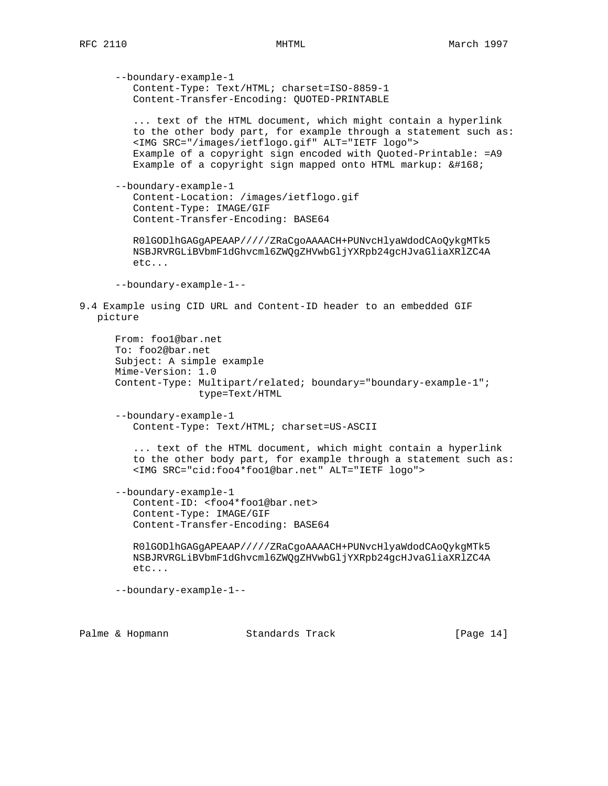--boundary-example-1 Content-Type: Text/HTML; charset=ISO-8859-1 Content-Transfer-Encoding: QUOTED-PRINTABLE ... text of the HTML document, which might contain a hyperlink to the other body part, for example through a statement such as: <IMG SRC="/images/ietflogo.gif" ALT="IETF logo"> Example of a copyright sign encoded with Quoted-Printable: =A9 Example of a copyright sign mapped onto HTML markup:  $&\#168$ ; --boundary-example-1 Content-Location: /images/ietflogo.gif Content-Type: IMAGE/GIF Content-Transfer-Encoding: BASE64 R0lGODlhGAGgAPEAAP/////ZRaCgoAAAACH+PUNvcHlyaWdodCAoQykgMTk5 NSBJRVRGLiBVbmF1dGhvcml6ZWQgZHVwbGljYXRpb24gcHJvaGliaXRlZC4A etc... --boundary-example-1-- 9.4 Example using CID URL and Content-ID header to an embedded GIF picture From: foo1@bar.net To: foo2@bar.net Subject: A simple example Mime-Version: 1.0 Content-Type: Multipart/related; boundary="boundary-example-1"; type=Text/HTML --boundary-example-1 Content-Type: Text/HTML; charset=US-ASCII ... text of the HTML document, which might contain a hyperlink to the other body part, for example through a statement such as: <IMG SRC="cid:foo4\*foo1@bar.net" ALT="IETF logo"> --boundary-example-1 Content-ID: <foo4\*foo1@bar.net> Content-Type: IMAGE/GIF Content-Transfer-Encoding: BASE64 R0lGODlhGAGgAPEAAP/////ZRaCgoAAAACH+PUNvcHlyaWdodCAoQykgMTk5 NSBJRVRGLiBVbmF1dGhvcml6ZWQgZHVwbGljYXRpb24gcHJvaGliaXRlZC4A etc...

--boundary-example-1--

Palme & Hopmann Standards Track [Page 14]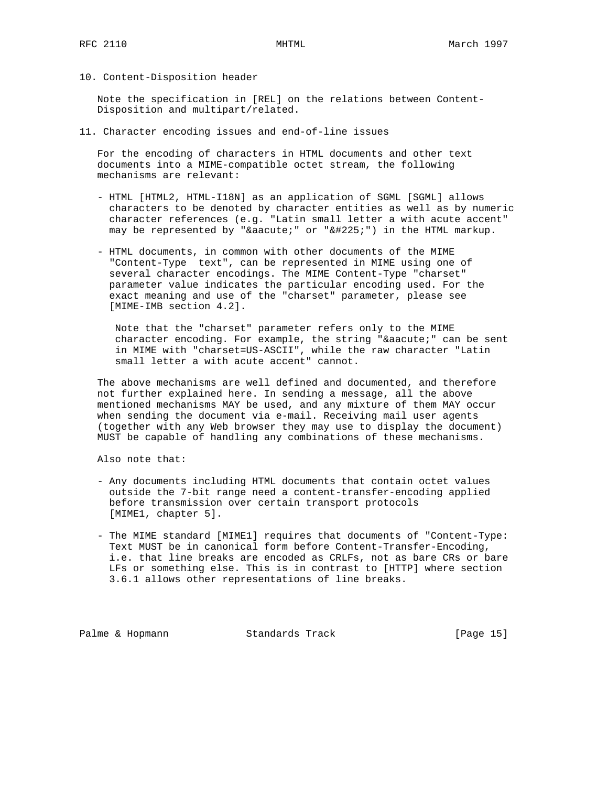10. Content-Disposition header

 Note the specification in [REL] on the relations between Content- Disposition and multipart/related.

11. Character encoding issues and end-of-line issues

 For the encoding of characters in HTML documents and other text documents into a MIME-compatible octet stream, the following mechanisms are relevant:

- HTML [HTML2, HTML-I18N] as an application of SGML [SGML] allows characters to be denoted by character entities as well as by numeric character references (e.g. "Latin small letter a with acute accent" may be represented by " $\&a$ acute;" or " $\&\#225$ ;") in the HTML markup.
- HTML documents, in common with other documents of the MIME "Content-Type text", can be represented in MIME using one of several character encodings. The MIME Content-Type "charset" parameter value indicates the particular encoding used. For the exact meaning and use of the "charset" parameter, please see [MIME-IMB section 4.2].

 Note that the "charset" parameter refers only to the MIME character encoding. For example, the string "á" can be sent in MIME with "charset=US-ASCII", while the raw character "Latin small letter a with acute accent" cannot.

 The above mechanisms are well defined and documented, and therefore not further explained here. In sending a message, all the above mentioned mechanisms MAY be used, and any mixture of them MAY occur when sending the document via e-mail. Receiving mail user agents (together with any Web browser they may use to display the document) MUST be capable of handling any combinations of these mechanisms.

Also note that:

- Any documents including HTML documents that contain octet values outside the 7-bit range need a content-transfer-encoding applied before transmission over certain transport protocols [MIME1, chapter 5].
- The MIME standard [MIME1] requires that documents of "Content-Type: Text MUST be in canonical form before Content-Transfer-Encoding, i.e. that line breaks are encoded as CRLFs, not as bare CRs or bare LFs or something else. This is in contrast to [HTTP] where section 3.6.1 allows other representations of line breaks.

Palme & Hopmann Standards Track [Page 15]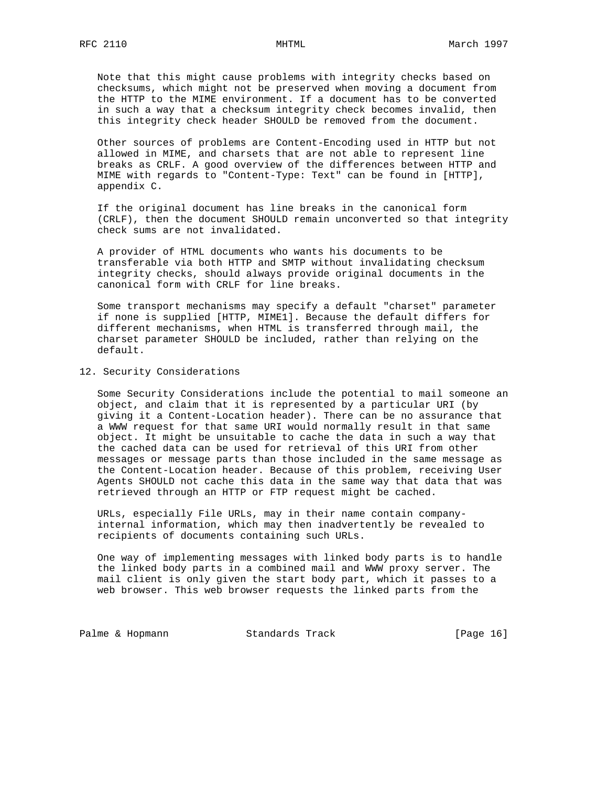Note that this might cause problems with integrity checks based on checksums, which might not be preserved when moving a document from the HTTP to the MIME environment. If a document has to be converted in such a way that a checksum integrity check becomes invalid, then this integrity check header SHOULD be removed from the document.

 Other sources of problems are Content-Encoding used in HTTP but not allowed in MIME, and charsets that are not able to represent line breaks as CRLF. A good overview of the differences between HTTP and MIME with regards to "Content-Type: Text" can be found in [HTTP], appendix C.

 If the original document has line breaks in the canonical form (CRLF), then the document SHOULD remain unconverted so that integrity check sums are not invalidated.

 A provider of HTML documents who wants his documents to be transferable via both HTTP and SMTP without invalidating checksum integrity checks, should always provide original documents in the canonical form with CRLF for line breaks.

 Some transport mechanisms may specify a default "charset" parameter if none is supplied [HTTP, MIME1]. Because the default differs for different mechanisms, when HTML is transferred through mail, the charset parameter SHOULD be included, rather than relying on the default.

## 12. Security Considerations

 Some Security Considerations include the potential to mail someone an object, and claim that it is represented by a particular URI (by giving it a Content-Location header). There can be no assurance that a WWW request for that same URI would normally result in that same object. It might be unsuitable to cache the data in such a way that the cached data can be used for retrieval of this URI from other messages or message parts than those included in the same message as the Content-Location header. Because of this problem, receiving User Agents SHOULD not cache this data in the same way that data that was retrieved through an HTTP or FTP request might be cached.

 URLs, especially File URLs, may in their name contain company internal information, which may then inadvertently be revealed to recipients of documents containing such URLs.

 One way of implementing messages with linked body parts is to handle the linked body parts in a combined mail and WWW proxy server. The mail client is only given the start body part, which it passes to a web browser. This web browser requests the linked parts from the

Palme & Hopmann Standards Track [Page 16]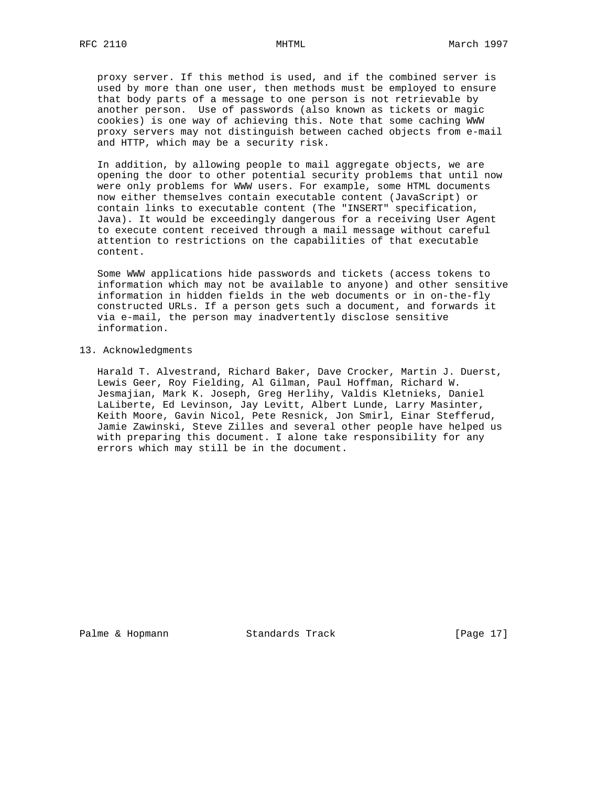proxy server. If this method is used, and if the combined server is used by more than one user, then methods must be employed to ensure that body parts of a message to one person is not retrievable by another person. Use of passwords (also known as tickets or magic cookies) is one way of achieving this. Note that some caching WWW proxy servers may not distinguish between cached objects from e-mail and HTTP, which may be a security risk.

 In addition, by allowing people to mail aggregate objects, we are opening the door to other potential security problems that until now were only problems for WWW users. For example, some HTML documents now either themselves contain executable content (JavaScript) or contain links to executable content (The "INSERT" specification, Java). It would be exceedingly dangerous for a receiving User Agent to execute content received through a mail message without careful attention to restrictions on the capabilities of that executable content.

 Some WWW applications hide passwords and tickets (access tokens to information which may not be available to anyone) and other sensitive information in hidden fields in the web documents or in on-the-fly constructed URLs. If a person gets such a document, and forwards it via e-mail, the person may inadvertently disclose sensitive information.

13. Acknowledgments

 Harald T. Alvestrand, Richard Baker, Dave Crocker, Martin J. Duerst, Lewis Geer, Roy Fielding, Al Gilman, Paul Hoffman, Richard W. Jesmajian, Mark K. Joseph, Greg Herlihy, Valdis Kletnieks, Daniel LaLiberte, Ed Levinson, Jay Levitt, Albert Lunde, Larry Masinter, Keith Moore, Gavin Nicol, Pete Resnick, Jon Smirl, Einar Stefferud, Jamie Zawinski, Steve Zilles and several other people have helped us with preparing this document. I alone take responsibility for any errors which may still be in the document.

Palme & Hopmann Standards Track [Page 17]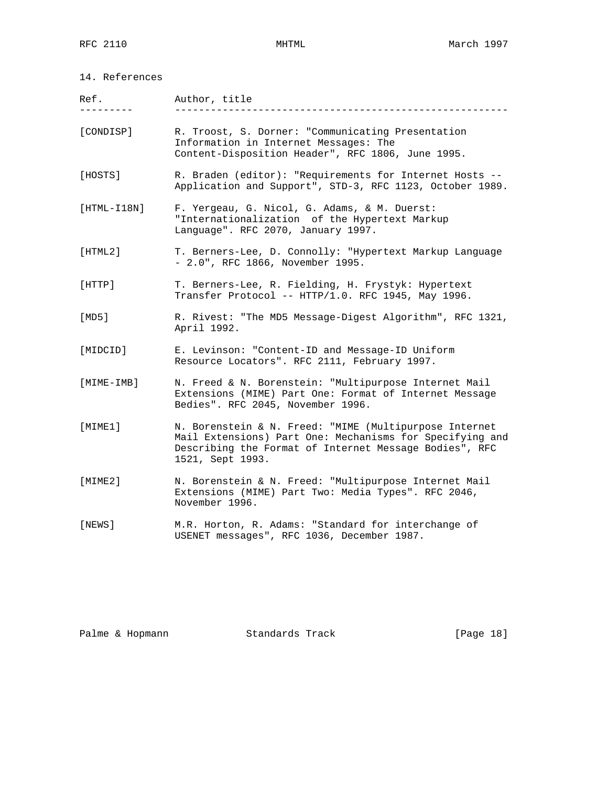| Ref.          | Author, title                                                                                                                                                                                    |  |  |  |
|---------------|--------------------------------------------------------------------------------------------------------------------------------------------------------------------------------------------------|--|--|--|
| [CONDISP]     | R. Troost, S. Dorner: "Communicating Presentation<br>Information in Internet Messages: The<br>Content-Disposition Header", RFC 1806, June 1995.                                                  |  |  |  |
| [HOSTS]       | R. Braden (editor): "Requirements for Internet Hosts --<br>Application and Support", STD-3, RFC 1123, October 1989.                                                                              |  |  |  |
| $[HTML-118N]$ | F. Yergeau, G. Nicol, G. Adams, & M. Duerst:<br>"Internationalization of the Hypertext Markup<br>Language". RFC 2070, January 1997.                                                              |  |  |  |
| [HTML2]       | T. Berners-Lee, D. Connolly: "Hypertext Markup Language<br>- 2.0", RFC 1866, November 1995.                                                                                                      |  |  |  |
| [HTTP]        | T. Berners-Lee, R. Fielding, H. Frystyk: Hypertext<br>Transfer Protocol -- HTTP/1.0. RFC 1945, May 1996.                                                                                         |  |  |  |
| [MD5]         | R. Rivest: "The MD5 Message-Digest Algorithm", RFC 1321,<br>April 1992.                                                                                                                          |  |  |  |
| [MIDCID]      | E. Levinson: "Content-ID and Message-ID Uniform<br>Resource Locators". RFC 2111, February 1997.                                                                                                  |  |  |  |
| [MIME-IMB]    | N. Freed & N. Borenstein: "Multipurpose Internet Mail<br>Extensions (MIME) Part One: Format of Internet Message<br>Bedies". RFC 2045, November 1996.                                             |  |  |  |
| [MIME1]       | N. Borenstein & N. Freed: "MIME (Multipurpose Internet<br>Mail Extensions) Part One: Mechanisms for Specifying and<br>Describing the Format of Internet Message Bodies", RFC<br>1521, Sept 1993. |  |  |  |
| [MINE2]       | N. Borenstein & N. Freed: "Multipurpose Internet Mail<br>Extensions (MIME) Part Two: Media Types". RFC 2046,<br>November 1996.                                                                   |  |  |  |
| [NEWS]        | M.R. Horton, R. Adams: "Standard for interchange of<br>USENET messages", RFC 1036, December 1987.                                                                                                |  |  |  |

Palme & Hopmann Standards Track [Page 18]